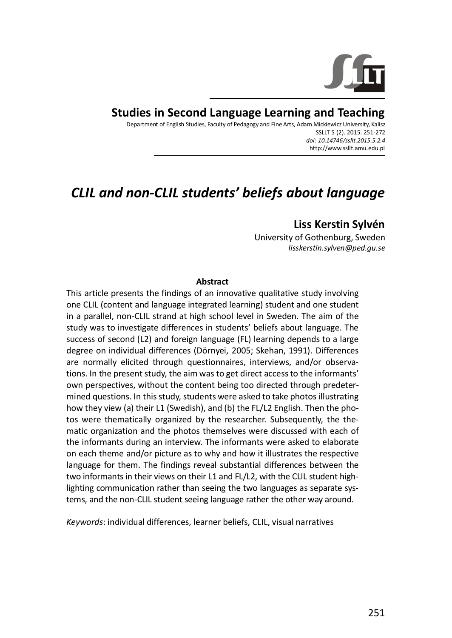

**Studies in Second Language Learning and Teaching**

Department of English Studies, Faculty of Pedagogy and Fine Arts, Adam Mickiewicz University, Kalisz SSLLT 5 (2). 2015. 251-272 *doi: 10.14746/ssllt.2015.5.2.4* http://www.ssllt.amu.edu.pl

# *CLIL and non-CLIL students' beliefs about language*

# **Liss Kerstin Sylvén**

University of Gothenburg, Sweden *lisskerstin.sylven@ped.gu.se*

#### **Abstract**

This article presents the findings of an innovative qualitative study involving one CLIL (content and language integrated learning) student and one student in a parallel, non-CLIL strand at high school level in Sweden. The aim of the study was to investigate differences in students' beliefs about language. The success of second (L2) and foreign language (FL) learning depends to a large degree on individual differences (Dörnyei, 2005; Skehan, 1991). Differences are normally elicited through questionnaires, interviews, and/or observations. In the present study, the aim was to get direct access to the informants' own perspectives, without the content being too directed through predetermined questions. In this study, students were asked to take photos illustrating how they view (a) their L1 (Swedish), and (b) the FL/L2 English. Then the photos were thematically organized by the researcher. Subsequently, the thematic organization and the photos themselves were discussed with each of the informants during an interview. The informants were asked to elaborate on each theme and/or picture as to why and how it illustrates the respective language for them. The findings reveal substantial differences between the two informants in their views on their L1 and FL/L2, with the CLIL student highlighting communication rather than seeing the two languages as separate systems, and the non-CLIL student seeing language rather the other way around.

*Keywords*: individual differences, learner beliefs, CLIL, visual narratives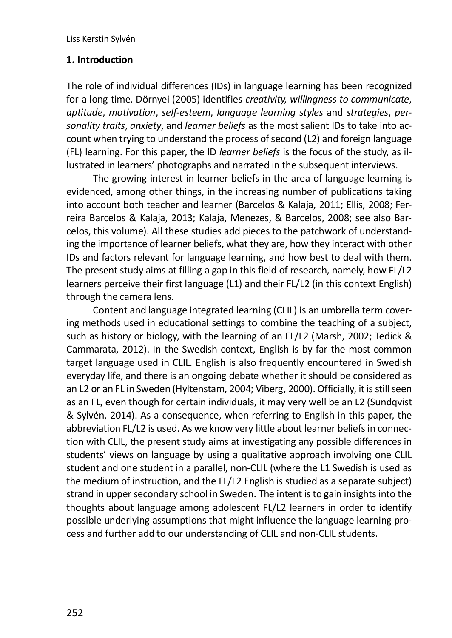#### **1. Introduction**

The role of individual differences (IDs) in language learning has been recognized for a long time. Dörnyei (2005) identifies *creativity, willingness to communicate*, *aptitude*, *motivation*, *self-esteem*, *language learning styles* and *strategies*, *personality traits*, *anxiety*, and *learner beliefs* as the most salient IDs to take into account when trying to understand the process of second (L2) and foreign language (FL) learning. For this paper, the ID *learner beliefs* is the focus of the study, as illustrated in learners' photographs and narrated in the subsequent interviews.

The growing interest in learner beliefs in the area of language learning is evidenced, among other things, in the increasing number of publications taking into account both teacher and learner (Barcelos & Kalaja, 2011; Ellis, 2008; Ferreira Barcelos & Kalaja, 2013; Kalaja, Menezes, & Barcelos, 2008; see also Barcelos, this volume). All these studies add pieces to the patchwork of understanding the importance of learner beliefs, what they are, how they interact with other IDs and factors relevant for language learning, and how best to deal with them. The present study aims at filling a gap in this field of research, namely, how FL/L2 learners perceive their first language (L1) and their FL/L2 (in this context English) through the camera lens.

Content and language integrated learning (CLIL) is an umbrella term covering methods used in educational settings to combine the teaching of a subject, such as history or biology, with the learning of an FL/L2 (Marsh, 2002; Tedick & Cammarata, 2012). In the Swedish context, English is by far the most common target language used in CLIL. English is also frequently encountered in Swedish everyday life, and there is an ongoing debate whether it should be considered as an L2 or an FL in Sweden (Hyltenstam, 2004; Viberg, 2000). Officially, it is still seen as an FL, even though for certain individuals, it may very well be an L2 (Sundqvist & Sylvén, 2014). As a consequence, when referring to English in this paper, the abbreviation FL/L2 is used. As we know very little about learner beliefs in connection with CLIL, the present study aims at investigating any possible differences in students' views on language by using a qualitative approach involving one CLIL student and one student in a parallel, non-CLIL (where the L1 Swedish is used as the medium of instruction, and the FL/L2 English is studied as a separate subject) strand in upper secondary school in Sweden. The intent is to gain insights into the thoughts about language among adolescent FL/L2 learners in order to identify possible underlying assumptions that might influence the language learning process and further add to our understanding of CLIL and non-CLIL students.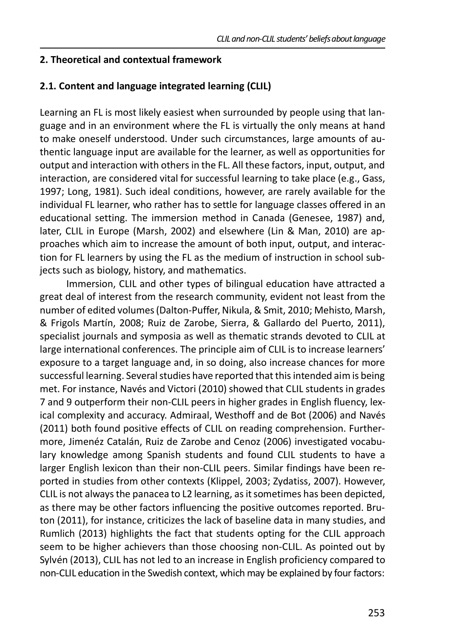#### **2. Theoretical and contextual framework**

#### **2.1. Content and language integrated learning (CLIL)**

Learning an FL is most likely easiest when surrounded by people using that language and in an environment where the FL is virtually the only means at hand to make oneself understood. Under such circumstances, large amounts of authentic language input are available for the learner, as well as opportunities for output and interaction with others in the FL. All these factors, input, output, and interaction, are considered vital for successful learning to take place (e.g., Gass, 1997; Long, 1981). Such ideal conditions, however, are rarely available for the individual FL learner, who rather has to settle for language classes offered in an educational setting. The immersion method in Canada (Genesee, 1987) and, later, CLIL in Europe (Marsh, 2002) and elsewhere (Lin & Man, 2010) are approaches which aim to increase the amount of both input, output, and interaction for FL learners by using the FL as the medium of instruction in school subjects such as biology, history, and mathematics.

Immersion, CLIL and other types of bilingual education have attracted a great deal of interest from the research community, evident not least from the number of edited volumes (Dalton-Puffer, Nikula, & Smit, 2010; Mehisto, Marsh, & Frigols Martín, 2008; Ruiz de Zarobe, Sierra, & Gallardo del Puerto, 2011), specialist journals and symposia as well as thematic strands devoted to CLIL at large international conferences. The principle aim of CLIL is to increase learners' exposure to a target language and, in so doing, also increase chances for more successful learning. Several studies have reported that this intended aim is being met. For instance, Navés and Victori (2010) showed that CLIL students in grades 7 and 9 outperform their non-CLIL peers in higher grades in English fluency, lexical complexity and accuracy. Admiraal, Westhoff and de Bot (2006) and Navés (2011) both found positive effects of CLIL on reading comprehension. Furthermore, Jimenéz Catalán, Ruiz de Zarobe and Cenoz (2006) investigated vocabulary knowledge among Spanish students and found CLIL students to have a larger English lexicon than their non-CLIL peers. Similar findings have been reported in studies from other contexts (Klippel, 2003; Zydatiss, 2007). However, CLIL is not always the panacea to L2 learning, as it sometimes has been depicted, as there may be other factors influencing the positive outcomes reported. Bruton (2011), for instance, criticizes the lack of baseline data in many studies, and Rumlich (2013) highlights the fact that students opting for the CLIL approach seem to be higher achievers than those choosing non-CLIL. As pointed out by Sylvén (2013), CLIL has not led to an increase in English proficiency compared to non-CLIL education in the Swedish context, which may be explained by four factors: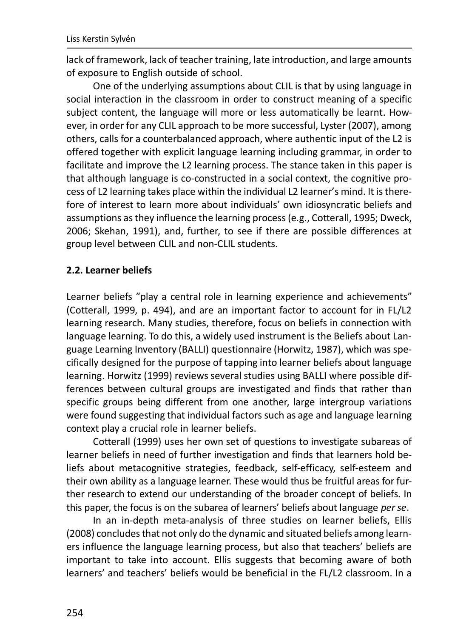lack of framework, lack of teacher training, late introduction, and large amounts of exposure to English outside of school.

One of the underlying assumptions about CLIL is that by using language in social interaction in the classroom in order to construct meaning of a specific subject content, the language will more or less automatically be learnt. However, in order for any CLIL approach to be more successful, Lyster (2007), among others, calls for a counterbalanced approach, where authentic input of the L2 is offered together with explicit language learning including grammar, in order to facilitate and improve the L2 learning process. The stance taken in this paper is that although language is co-constructed in a social context, the cognitive process of L2 learning takes place within the individual L2 learner's mind. It is therefore of interest to learn more about individuals' own idiosyncratic beliefs and assumptions as they influence the learning process (e.g., Cotterall, 1995; Dweck, 2006; Skehan, 1991), and, further, to see if there are possible differences at group level between CLIL and non-CLIL students.

### **2.2. Learner beliefs**

Learner beliefs "play a central role in learning experience and achievements" (Cotterall, 1999, p. 494), and are an important factor to account for in FL/L2 learning research. Many studies, therefore, focus on beliefs in connection with language learning. To do this, a widely used instrument is the Beliefs about Language Learning Inventory (BALLI) questionnaire (Horwitz, 1987), which was specifically designed for the purpose of tapping into learner beliefs about language learning. Horwitz (1999) reviews several studies using BALLI where possible differences between cultural groups are investigated and finds that rather than specific groups being different from one another, large intergroup variations were found suggesting that individual factors such as age and language learning context play a crucial role in learner beliefs.

Cotterall (1999) uses her own set of questions to investigate subareas of learner beliefs in need of further investigation and finds that learners hold beliefs about metacognitive strategies, feedback, self-efficacy, self-esteem and their own ability as a language learner. These would thus be fruitful areas for further research to extend our understanding of the broader concept of beliefs. In this paper, the focus is on the subarea of learners' beliefs about language *per se*.

In an in-depth meta-analysis of three studies on learner beliefs, Ellis (2008) concludes that not only do the dynamic and situated beliefs among learners influence the language learning process, but also that teachers' beliefs are important to take into account. Ellis suggests that becoming aware of both learners' and teachers' beliefs would be beneficial in the FL/L2 classroom. In a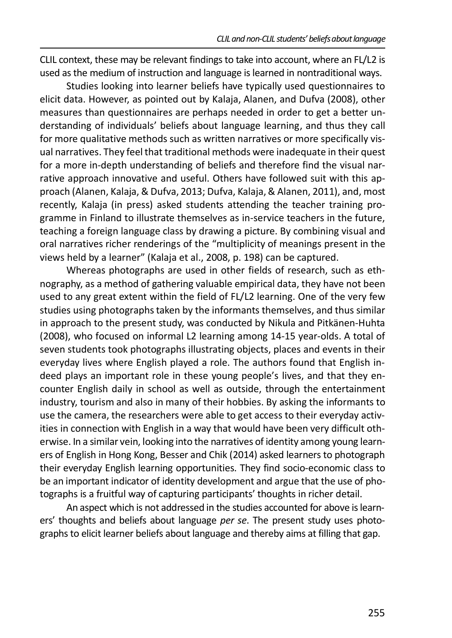CLIL context, these may be relevant findings to take into account, where an FL/L2 is used as the medium of instruction and language is learned in nontraditional ways.

Studies looking into learner beliefs have typically used questionnaires to elicit data. However, as pointed out by Kalaja, Alanen, and Dufva (2008), other measures than questionnaires are perhaps needed in order to get a better understanding of individuals' beliefs about language learning, and thus they call for more qualitative methods such as written narratives or more specifically visual narratives. They feel that traditional methods were inadequate in their quest for a more in-depth understanding of beliefs and therefore find the visual narrative approach innovative and useful. Others have followed suit with this approach (Alanen, Kalaja, & Dufva, 2013; Dufva, Kalaja, & Alanen, 2011), and, most recently, Kalaja (in press) asked students attending the teacher training programme in Finland to illustrate themselves as in-service teachers in the future, teaching a foreign language class by drawing a picture. By combining visual and oral narratives richer renderings of the "multiplicity of meanings present in the views held by a learner" (Kalaja et al., 2008, p. 198) can be captured.

Whereas photographs are used in other fields of research, such as ethnography, as a method of gathering valuable empirical data, they have not been used to any great extent within the field of FL/L2 learning. One of the very few studies using photographs taken by the informants themselves, and thus similar in approach to the present study, was conducted by Nikula and Pitkänen-Huhta (2008), who focused on informal L2 learning among 14-15 year-olds. A total of seven students took photographs illustrating objects, places and events in their everyday lives where English played a role. The authors found that English indeed plays an important role in these young people's lives, and that they encounter English daily in school as well as outside, through the entertainment industry, tourism and also in many of their hobbies. By asking the informants to use the camera, the researchers were able to get access to their everyday activities in connection with English in a way that would have been very difficult otherwise. In a similar vein, looking into the narratives of identity among young learners of English in Hong Kong, Besser and Chik (2014) asked learners to photograph their everyday English learning opportunities. They find socio-economic class to be an important indicator of identity development and argue that the use of photographs is a fruitful way of capturing participants' thoughts in richer detail.

An aspect which is not addressed in the studies accounted for above is learners' thoughts and beliefs about language *per se*. The present study uses photographs to elicit learner beliefs about language and thereby aims at filling that gap.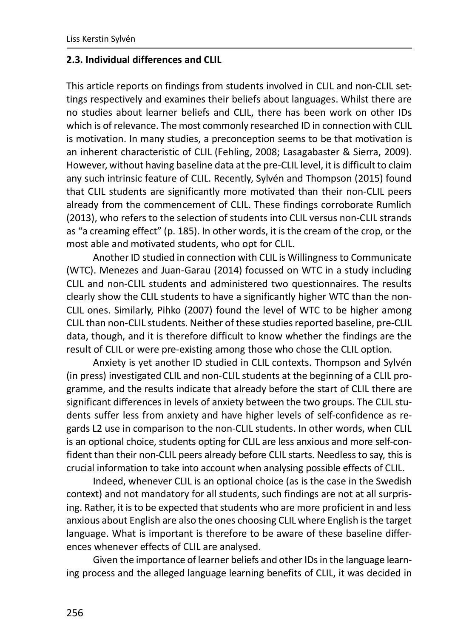#### **2.3. Individual differences and CLIL**

This article reports on findings from students involved in CLIL and non-CLIL settings respectively and examines their beliefs about languages. Whilst there are no studies about learner beliefs and CLIL, there has been work on other IDs which is of relevance. The most commonly researched ID in connection with CLIL is motivation. In many studies, a preconception seems to be that motivation is an inherent characteristic of CLIL (Fehling, 2008; Lasagabaster & Sierra, 2009). However, without having baseline data at the pre-CLIL level, it is difficult to claim any such intrinsic feature of CLIL. Recently, Sylvén and Thompson (2015) found that CLIL students are significantly more motivated than their non-CLIL peers already from the commencement of CLIL. These findings corroborate Rumlich (2013), who refers to the selection of students into CLIL versus non-CLIL strands as "a creaming effect" (p. 185). In other words, it is the cream of the crop, or the most able and motivated students, who opt for CLIL.

Another ID studied in connection with CLIL is Willingness to Communicate (WTC). Menezes and Juan-Garau (2014) focussed on WTC in a study including CLIL and non-CLIL students and administered two questionnaires. The results clearly show the CLIL students to have a significantly higher WTC than the non-CLIL ones. Similarly, Pihko (2007) found the level of WTC to be higher among CLIL than non-CLIL students. Neither of these studies reported baseline, pre-CLIL data, though, and it is therefore difficult to know whether the findings are the result of CLIL or were pre-existing among those who chose the CLIL option.

Anxiety is yet another ID studied in CLIL contexts. Thompson and Sylvén (in press) investigated CLIL and non-CLIL students at the beginning of a CLIL programme, and the results indicate that already before the start of CLIL there are significant differences in levels of anxiety between the two groups. The CLIL students suffer less from anxiety and have higher levels of self-confidence as regards L2 use in comparison to the non-CLIL students. In other words, when CLIL is an optional choice, students opting for CLIL are less anxious and more self-confident than their non-CLIL peers already before CLIL starts. Needless to say, this is crucial information to take into account when analysing possible effects of CLIL.

Indeed, whenever CLIL is an optional choice (as is the case in the Swedish context) and not mandatory for all students, such findings are not at all surprising. Rather, it is to be expected that students who are more proficient in and less anxious about English are also the ones choosing CLIL where English is the target language. What is important is therefore to be aware of these baseline differences whenever effects of CLIL are analysed.

Given the importance of learner beliefs and other IDs in the language learning process and the alleged language learning benefits of CLIL, it was decided in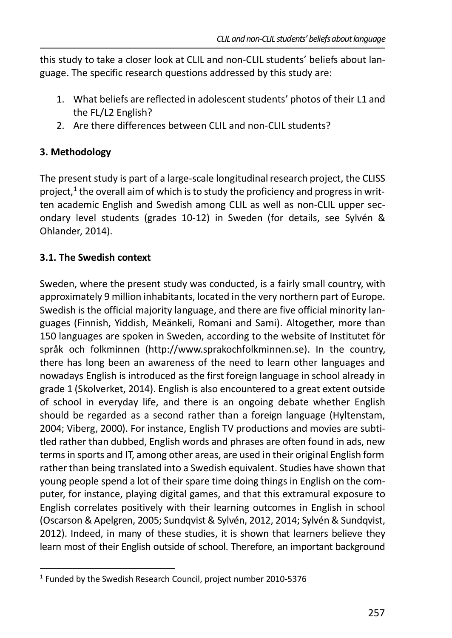this study to take a closer look at CLIL and non-CLIL students' beliefs about language. The specific research questions addressed by this study are:

- 1. What beliefs are reflected in adolescent students' photos of their L1 and the FL/L2 English?
- 2. Are there differences between CLIL and non-CLIL students?

# **3. Methodology**

The present study is part of a large-scale longitudinal research project, the CLISS project,<sup>1</sup> the overall aim of which is to study the proficiency and progress in written academic English and Swedish among CLIL as well as non-CLIL upper secondary level students (grades 10-12) in Sweden (for details, see Sylvén & Ohlander, 2014).

# **3.1. The Swedish context**

Sweden, where the present study was conducted, is a fairly small country, with approximately 9 million inhabitants, located in the very northern part of Europe. Swedish is the official majority language, and there are five official minority languages (Finnish, Yiddish, Meänkeli, Romani and Sami). Altogether, more than 150 languages are spoken in Sweden, according to the website of Institutet för språk och folkminnen (http://www.sprakochfolkminnen.se). In the country, there has long been an awareness of the need to learn other languages and nowadays English is introduced as the first foreign language in school already in grade 1 (Skolverket, 2014). English is also encountered to a great extent outside of school in everyday life, and there is an ongoing debate whether English should be regarded as a second rather than a foreign language (Hyltenstam, 2004; Viberg, 2000). For instance, English TV productions and movies are subtitled rather than dubbed, English words and phrases are often found in ads, new terms in sports and IT, among other areas, are used in their original English form rather than being translated into a Swedish equivalent. Studies have shown that young people spend a lot of their spare time doing things in English on the computer, for instance, playing digital games, and that this extramural exposure to English correlates positively with their learning outcomes in English in school (Oscarson & Apelgren, 2005; Sundqvist & Sylvén, 2012, 2014; Sylvén & Sundqvist, 2012). Indeed, in many of these studies, it is shown that learners believe they learn most of their English outside of school. Therefore, an important background

<sup>&</sup>lt;sup>1</sup> Funded by the Swedish Research Council, project number 2010-5376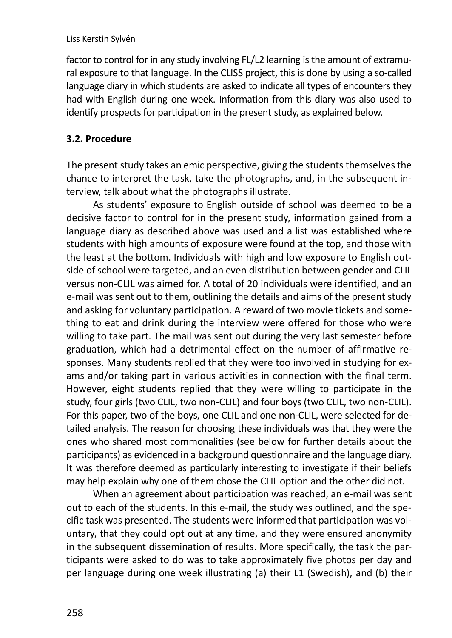factor to control for in any study involving FL/L2 learning is the amount of extramural exposure to that language. In the CLISS project, this is done by using a so-called language diary in which students are asked to indicate all types of encounters they had with English during one week. Information from this diary was also used to identify prospects for participation in the present study, as explained below.

# **3.2. Procedure**

The present study takes an emic perspective, giving the students themselves the chance to interpret the task, take the photographs, and, in the subsequent interview, talk about what the photographs illustrate.

As students' exposure to English outside of school was deemed to be a decisive factor to control for in the present study, information gained from a language diary as described above was used and a list was established where students with high amounts of exposure were found at the top, and those with the least at the bottom. Individuals with high and low exposure to English outside of school were targeted, and an even distribution between gender and CLIL versus non-CLIL was aimed for. A total of 20 individuals were identified, and an e-mail was sent out to them, outlining the details and aims of the present study and asking for voluntary participation. A reward of two movie tickets and something to eat and drink during the interview were offered for those who were willing to take part. The mail was sent out during the very last semester before graduation, which had a detrimental effect on the number of affirmative responses. Many students replied that they were too involved in studying for exams and/or taking part in various activities in connection with the final term. However, eight students replied that they were willing to participate in the study, four girls (two CLIL, two non-CLIL) and four boys (two CLIL, two non-CLIL). For this paper, two of the boys, one CLIL and one non-CLIL, were selected for detailed analysis. The reason for choosing these individuals was that they were the ones who shared most commonalities (see below for further details about the participants) as evidenced in a background questionnaire and the language diary. It was therefore deemed as particularly interesting to investigate if their beliefs may help explain why one of them chose the CLIL option and the other did not.

When an agreement about participation was reached, an e-mail was sent out to each of the students. In this e-mail, the study was outlined, and the specific task was presented. The students were informed that participation was voluntary, that they could opt out at any time, and they were ensured anonymity in the subsequent dissemination of results. More specifically, the task the participants were asked to do was to take approximately five photos per day and per language during one week illustrating (a) their L1 (Swedish), and (b) their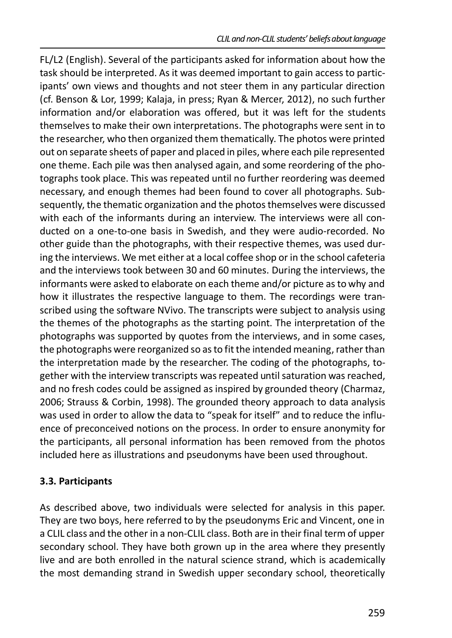FL/L2 (English). Several of the participants asked for information about how the task should be interpreted. As it was deemed important to gain access to participants' own views and thoughts and not steer them in any particular direction (cf. Benson & Lor, 1999; Kalaja, in press; Ryan & Mercer, 2012), no such further information and/or elaboration was offered, but it was left for the students themselves to make their own interpretations. The photographs were sent in to the researcher, who then organized them thematically. The photos were printed out on separate sheets of paper and placed in piles, where each pile represented one theme. Each pile was then analysed again, and some reordering of the photographs took place. This was repeated until no further reordering was deemed necessary, and enough themes had been found to cover all photographs. Subsequently, the thematic organization and the photos themselves were discussed with each of the informants during an interview. The interviews were all conducted on a one-to-one basis in Swedish, and they were audio-recorded. No other guide than the photographs, with their respective themes, was used during the interviews. We met either at a local coffee shop or in the school cafeteria and the interviews took between 30 and 60 minutes. During the interviews, the informants were asked to elaborate on each theme and/or picture as to why and how it illustrates the respective language to them. The recordings were transcribed using the software NVivo. The transcripts were subject to analysis using the themes of the photographs as the starting point. The interpretation of the photographs was supported by quotes from the interviews, and in some cases, the photographs were reorganized so as to fit the intended meaning, rather than the interpretation made by the researcher. The coding of the photographs, together with the interview transcripts was repeated until saturation was reached, and no fresh codes could be assigned as inspired by grounded theory (Charmaz, 2006; Strauss & Corbin, 1998). The grounded theory approach to data analysis was used in order to allow the data to "speak for itself" and to reduce the influence of preconceived notions on the process. In order to ensure anonymity for the participants, all personal information has been removed from the photos included here as illustrations and pseudonyms have been used throughout.

#### **3.3. Participants**

As described above, two individuals were selected for analysis in this paper. They are two boys, here referred to by the pseudonyms Eric and Vincent, one in a CLIL class and the other in a non-CLIL class. Both are in their final term of upper secondary school. They have both grown up in the area where they presently live and are both enrolled in the natural science strand, which is academically the most demanding strand in Swedish upper secondary school, theoretically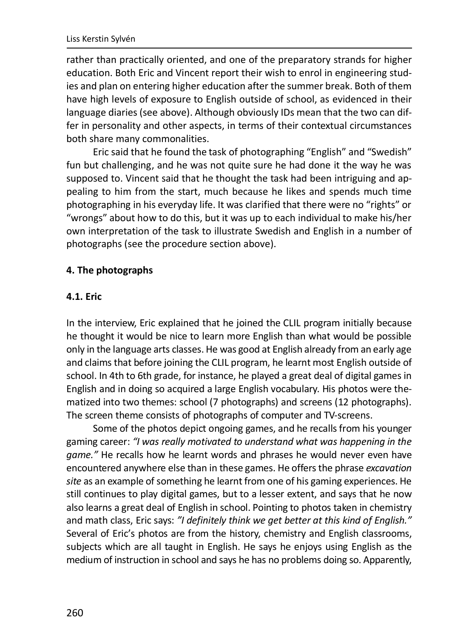rather than practically oriented, and one of the preparatory strands for higher education. Both Eric and Vincent report their wish to enrol in engineering studies and plan on entering higher education after the summer break. Both of them have high levels of exposure to English outside of school, as evidenced in their language diaries (see above). Although obviously IDs mean that the two can differ in personality and other aspects, in terms of their contextual circumstances both share many commonalities.

Eric said that he found the task of photographing "English" and "Swedish" fun but challenging, and he was not quite sure he had done it the way he was supposed to. Vincent said that he thought the task had been intriguing and appealing to him from the start, much because he likes and spends much time photographing in his everyday life. It was clarified that there were no "rights" or "wrongs" about how to do this, but it was up to each individual to make his/her own interpretation of the task to illustrate Swedish and English in a number of photographs (see the procedure section above).

#### **4. The photographs**

#### **4.1. Eric**

In the interview, Eric explained that he joined the CLIL program initially because he thought it would be nice to learn more English than what would be possible only in the language arts classes. He was good at English already from an early age and claims that before joining the CLIL program, he learnt most English outside of school. In 4th to 6th grade, for instance, he played a great deal of digital games in English and in doing so acquired a large English vocabulary. His photos were thematized into two themes: school (7 photographs) and screens (12 photographs). The screen theme consists of photographs of computer and TV-screens.

Some of the photos depict ongoing games, and he recalls from his younger gaming career: *"I was really motivated to understand what was happening in the game."* He recalls how he learnt words and phrases he would never even have encountered anywhere else than in these games. He offers the phrase *excavation site* as an example of something he learnt from one of his gaming experiences. He still continues to play digital games, but to a lesser extent, and says that he now also learns a great deal of English in school. Pointing to photos taken in chemistry and math class, Eric says: *"I definitely think we get better at this kind of English."* Several of Eric's photos are from the history, chemistry and English classrooms, subjects which are all taught in English. He says he enjoys using English as the medium of instruction in school and says he has no problems doing so. Apparently,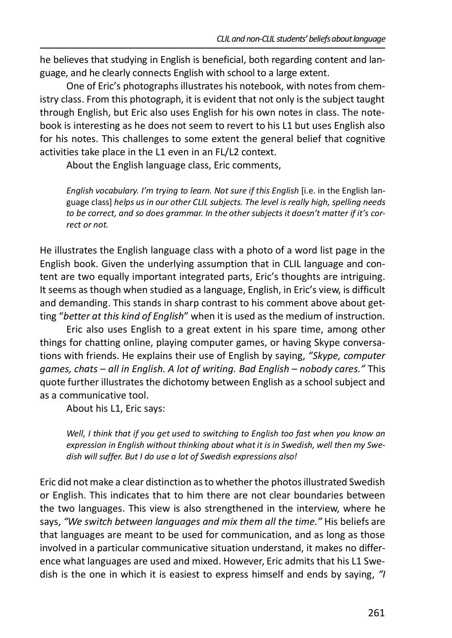he believes that studying in English is beneficial, both regarding content and language, and he clearly connects English with school to a large extent.

One of Eric's photographs illustrates his notebook, with notes from chemistry class. From this photograph, it is evident that not only is the subject taught through English, but Eric also uses English for his own notes in class. The notebook is interesting as he does not seem to revert to his L1 but uses English also for his notes. This challenges to some extent the general belief that cognitive activities take place in the L1 even in an FL/L2 context.

About the English language class, Eric comments,

*English vocabulary. I'm trying to learn. Not sure if this English* [i.e. in the English language class] *helps us in our other CLIL subjects. The level is really high, spelling needs to be correct, and so does grammar. In the other subjects it doesn't matter if it's correct or not.*

He illustrates the English language class with a photo of a word list page in the English book. Given the underlying assumption that in CLIL language and content are two equally important integrated parts, Eric's thoughts are intriguing. It seems as though when studied as a language, English, in Eric's view, is difficult and demanding. This stands in sharp contrast to his comment above about getting "*better at this kind of English*" when it is used as the medium of instruction.

Eric also uses English to a great extent in his spare time, among other things for chatting online, playing computer games, or having Skype conversations with friends. He explains their use of English by saying, *"Skype, computer games, chats – all in English. A lot of writing. Bad English – nobody cares."* This quote further illustrates the dichotomy between English as a school subject and as a communicative tool.

About his L1, Eric says:

*Well, I think that if you get used to switching to English too fast when you know an expression in English without thinking about what it is in Swedish, well then my Swedish will suffer. But I do use a lot of Swedish expressions also!*

Eric did not make a clear distinction as to whether the photos illustrated Swedish or English. This indicates that to him there are not clear boundaries between the two languages. This view is also strengthened in the interview, where he says, *"We switch between languages and mix them all the time."* His beliefs are that languages are meant to be used for communication, and as long as those involved in a particular communicative situation understand, it makes no difference what languages are used and mixed. However, Eric admits that his L1 Swedish is the one in which it is easiest to express himself and ends by saying, *"I*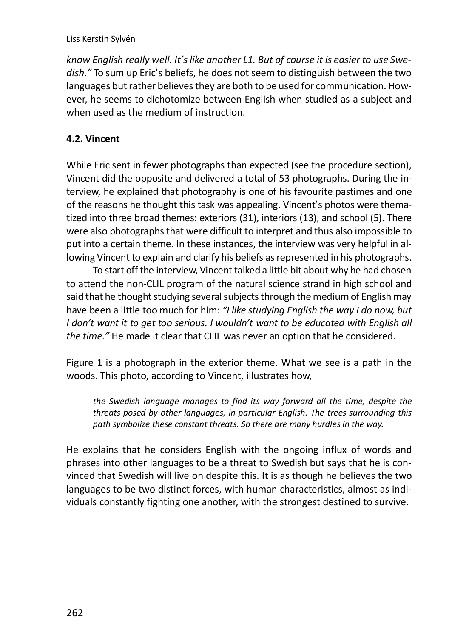#### Liss Kerstin Sylvén

*know English really well. It's like another L1. But of course it is easier to use Swedish."* To sum up Eric's beliefs, he does not seem to distinguish between the two languages but rather believes they are both to be used for communication. However, he seems to dichotomize between English when studied as a subject and when used as the medium of instruction.

# **4.2. Vincent**

While Eric sent in fewer photographs than expected (see the procedure section), Vincent did the opposite and delivered a total of 53 photographs. During the interview, he explained that photography is one of his favourite pastimes and one of the reasons he thought this task was appealing. Vincent's photos were thematized into three broad themes: exteriors (31), interiors (13), and school (5). There were also photographs that were difficult to interpret and thus also impossible to put into a certain theme. In these instances, the interview was very helpful in allowing Vincent to explain and clarify his beliefs as represented in his photographs.

To start off the interview, Vincent talked a little bit about why he had chosen to attend the non-CLIL program of the natural science strand in high school and said that he thought studying several subjects through the medium of English may have been a little too much for him: *"I like studying English the way I do now, but I don't want it to get too serious. I wouldn't want to be educated with English all the time."* He made it clear that CLIL was never an option that he considered.

Figure 1 is a photograph in the exterior theme. What we see is a path in the woods. This photo, according to Vincent, illustrates how,

*the Swedish language manages to find its way forward all the time, despite the threats posed by other languages, in particular English. The trees surrounding this path symbolize these constant threats. So there are many hurdles in the way.*

He explains that he considers English with the ongoing influx of words and phrases into other languages to be a threat to Swedish but says that he is convinced that Swedish will live on despite this. It is as though he believes the two languages to be two distinct forces, with human characteristics, almost as individuals constantly fighting one another, with the strongest destined to survive.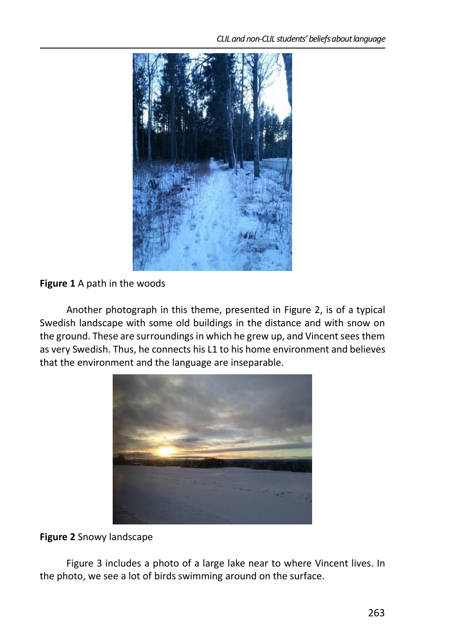

### **Figure 1** A path in the woods

Another photograph in this theme, presented in Figure 2, is of a typical Swedish landscape with some old buildings in the distance and with snow on the ground. These are surroundings in which he grew up, and Vincent sees them as very Swedish. Thus, he connects his L1 to his home environment and believes that the environment and the language are inseparable.



#### **Figure 2** Snowy landscape

Figure 3 includes a photo of a large lake near to where Vincent lives. In the photo, we see a lot of birds swimming around on the surface.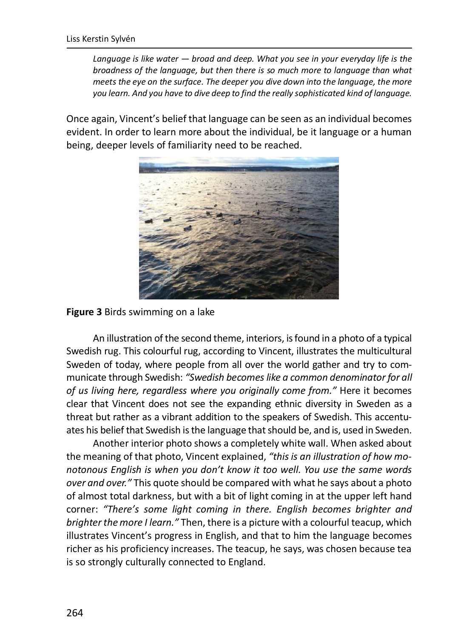*Language is like water — broad and deep. What you see in your everyday life is the broadness of the language, but then there is so much more to language than what meets the eye on the surface. The deeper you dive down into the language, the more you learn. And you have to dive deep to find the really sophisticated kind of language.*

Once again, Vincent's belief that language can be seen as an individual becomes evident. In order to learn more about the individual, be it language or a human being, deeper levels of familiarity need to be reached.



#### **Figure 3** Birds swimming on a lake

An illustration of the second theme, interiors, is found in a photo of a typical Swedish rug. This colourful rug, according to Vincent, illustrates the multicultural Sweden of today, where people from all over the world gather and try to communicate through Swedish: *"Swedish becomes like a common denominator for all of us living here, regardless where you originally come from."* Here it becomes clear that Vincent does not see the expanding ethnic diversity in Sweden as a threat but rather as a vibrant addition to the speakers of Swedish. This accentuates his belief that Swedish is the language that should be, and is, used in Sweden.

Another interior photo shows a completely white wall. When asked about the meaning of that photo, Vincent explained, *"this is an illustration of how monotonous English is when you don't know it too well. You use the same words over and over."* This quote should be compared with what he says about a photo of almost total darkness, but with a bit of light coming in at the upper left hand corner: *"There's some light coming in there. English becomes brighter and brighter the more I learn."* Then, there is a picture with a colourful teacup, which illustrates Vincent's progress in English, and that to him the language becomes richer as his proficiency increases. The teacup, he says, was chosen because tea is so strongly culturally connected to England.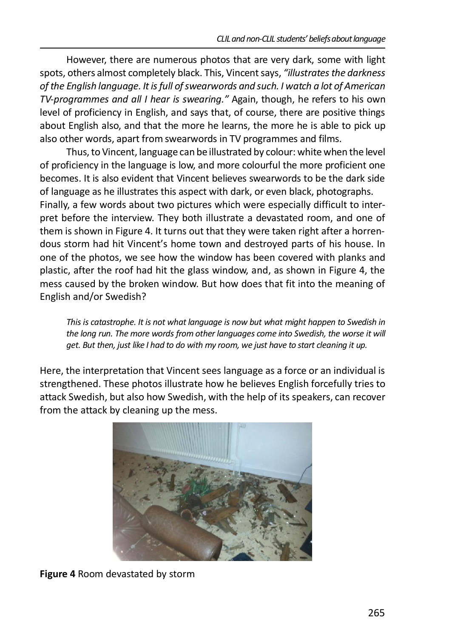However, there are numerous photos that are very dark, some with light spots, others almost completely black. This, Vincent says, *"illustrates the darkness of the English language. It is full of swearwords and such. I watch a lot of American TV-programmes and all I hear is swearing."* Again, though, he refers to his own level of proficiency in English, and says that, of course, there are positive things about English also, and that the more he learns, the more he is able to pick up also other words, apart from swearwords in TV programmes and films.

Thus, to Vincent, language can be illustrated by colour: white when the level of proficiency in the language is low, and more colourful the more proficient one becomes. It is also evident that Vincent believes swearwords to be the dark side of language as he illustrates this aspect with dark, or even black, photographs. Finally, a few words about two pictures which were especially difficult to interpret before the interview. They both illustrate a devastated room, and one of them is shown in Figure 4. It turns out that they were taken right after a horrendous storm had hit Vincent's home town and destroyed parts of his house. In one of the photos, we see how the window has been covered with planks and plastic, after the roof had hit the glass window, and, as shown in Figure 4, the mess caused by the broken window. But how does that fit into the meaning of English and/or Swedish?

*This is catastrophe. It is not what language is now but what might happen to Swedish in the long run. The more words from other languages come into Swedish, the worse it will get. But then, just like I had to do with my room, we just have to start cleaning it up.*

Here, the interpretation that Vincent sees language as a force or an individual is strengthened. These photos illustrate how he believes English forcefully tries to attack Swedish, but also how Swedish, with the help of its speakers, can recover from the attack by cleaning up the mess.



**Figure 4** Room devastated by storm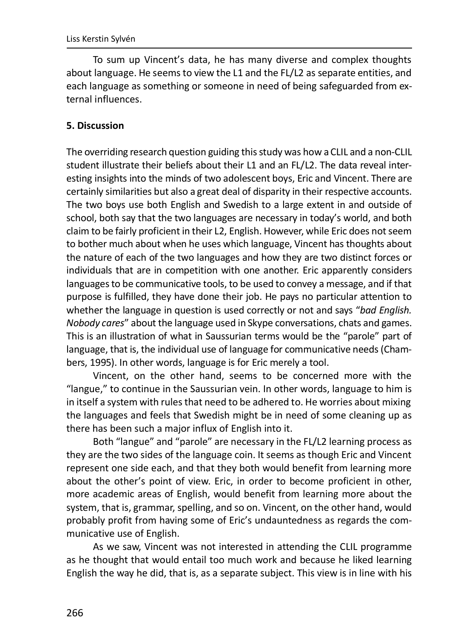To sum up Vincent's data, he has many diverse and complex thoughts about language. He seems to view the L1 and the FL/L2 as separate entities, and each language as something or someone in need of being safeguarded from external influences.

#### **5. Discussion**

The overriding research question guiding this study was how a CLIL and a non-CLIL student illustrate their beliefs about their L1 and an FL/L2. The data reveal interesting insights into the minds of two adolescent boys, Eric and Vincent. There are certainly similarities but also a great deal of disparity in their respective accounts. The two boys use both English and Swedish to a large extent in and outside of school, both say that the two languages are necessary in today's world, and both claim to be fairly proficient in their L2, English. However, while Eric does not seem to bother much about when he uses which language, Vincent has thoughts about the nature of each of the two languages and how they are two distinct forces or individuals that are in competition with one another. Eric apparently considers languages to be communicative tools, to be used to convey a message, and if that purpose is fulfilled, they have done their job. He pays no particular attention to whether the language in question is used correctly or not and says "*bad English. Nobody cares*" about the language used in Skype conversations, chats and games. This is an illustration of what in Saussurian terms would be the "parole" part of language, that is, the individual use of language for communicative needs (Chambers, 1995). In other words, language is for Eric merely a tool.

Vincent, on the other hand, seems to be concerned more with the "langue," to continue in the Saussurian vein. In other words, language to him is in itself a system with rules that need to be adhered to. He worries about mixing the languages and feels that Swedish might be in need of some cleaning up as there has been such a major influx of English into it.

Both "langue" and "parole" are necessary in the FL/L2 learning process as they are the two sides of the language coin. It seems as though Eric and Vincent represent one side each, and that they both would benefit from learning more about the other's point of view. Eric, in order to become proficient in other, more academic areas of English, would benefit from learning more about the system, that is, grammar, spelling, and so on. Vincent, on the other hand, would probably profit from having some of Eric's undauntedness as regards the communicative use of English.

As we saw, Vincent was not interested in attending the CLIL programme as he thought that would entail too much work and because he liked learning English the way he did, that is, as a separate subject. This view is in line with his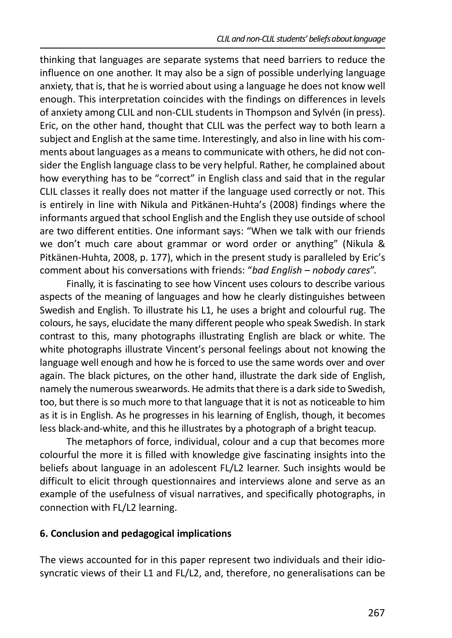thinking that languages are separate systems that need barriers to reduce the influence on one another. It may also be a sign of possible underlying language anxiety, that is, that he is worried about using a language he does not know well enough. This interpretation coincides with the findings on differences in levels of anxiety among CLIL and non-CLIL students in Thompson and Sylvén (in press). Eric, on the other hand, thought that CLIL was the perfect way to both learn a subject and English at the same time. Interestingly, and also in line with his comments about languages as a means to communicate with others, he did not consider the English language class to be very helpful. Rather, he complained about how everything has to be "correct" in English class and said that in the regular CLIL classes it really does not matter if the language used correctly or not. This is entirely in line with Nikula and Pitkänen-Huhta's (2008) findings where the informants argued that school English and the English they use outside of school are two different entities. One informant says: "When we talk with our friends we don't much care about grammar or word order or anything" (Nikula & Pitkänen-Huhta, 2008, p. 177), which in the present study is paralleled by Eric's comment about his conversations with friends: "*bad English – nobody cares*".

Finally, it is fascinating to see how Vincent uses colours to describe various aspects of the meaning of languages and how he clearly distinguishes between Swedish and English. To illustrate his L1, he uses a bright and colourful rug. The colours, he says, elucidate the many different people who speak Swedish. In stark contrast to this, many photographs illustrating English are black or white. The white photographs illustrate Vincent's personal feelings about not knowing the language well enough and how he is forced to use the same words over and over again. The black pictures, on the other hand, illustrate the dark side of English, namely the numerous swearwords. He admits that there is a dark side to Swedish, too, but there is so much more to that language that it is not as noticeable to him as it is in English. As he progresses in his learning of English, though, it becomes less black-and-white, and this he illustrates by a photograph of a bright teacup.

The metaphors of force, individual, colour and a cup that becomes more colourful the more it is filled with knowledge give fascinating insights into the beliefs about language in an adolescent FL/L2 learner. Such insights would be difficult to elicit through questionnaires and interviews alone and serve as an example of the usefulness of visual narratives, and specifically photographs, in connection with FL/L2 learning.

# **6. Conclusion and pedagogical implications**

The views accounted for in this paper represent two individuals and their idiosyncratic views of their L1 and FL/L2, and, therefore, no generalisations can be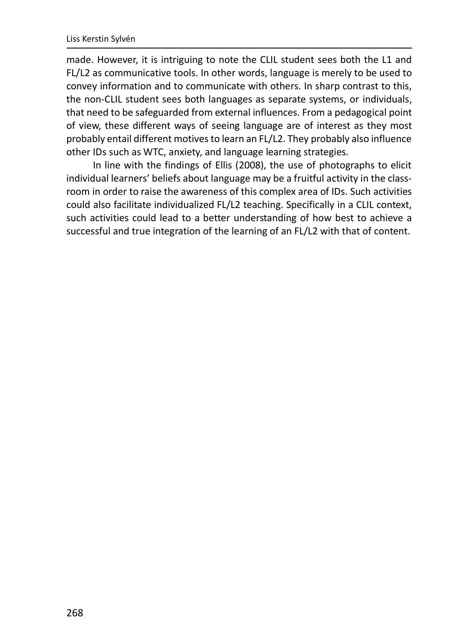made. However, it is intriguing to note the CLIL student sees both the L1 and FL/L2 as communicative tools. In other words, language is merely to be used to convey information and to communicate with others. In sharp contrast to this, the non-CLIL student sees both languages as separate systems, or individuals, that need to be safeguarded from external influences. From a pedagogical point of view, these different ways of seeing language are of interest as they most probably entail different motives to learn an FL/L2. They probably also influence other IDs such as WTC, anxiety, and language learning strategies.

In line with the findings of Ellis (2008), the use of photographs to elicit individual learners' beliefs about language may be a fruitful activity in the classroom in order to raise the awareness of this complex area of IDs. Such activities could also facilitate individualized FL/L2 teaching. Specifically in a CLIL context, such activities could lead to a better understanding of how best to achieve a successful and true integration of the learning of an FL/L2 with that of content.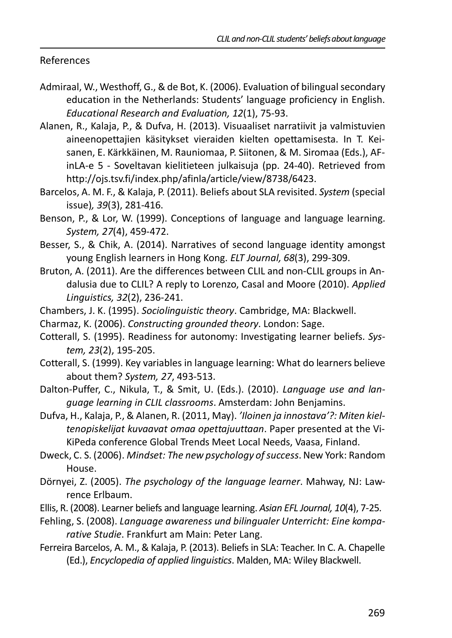#### References

- Admiraal, W., Westhoff, G., & de Bot, K. (2006). Evaluation of bilingual secondary education in the Netherlands: Students' language proficiency in English. *Educational Research and Evaluation, 12*(1), 75-93.
- Alanen, R., Kalaja, P., & Dufva, H. (2013). Visuaaliset narratiivit ja valmistuvien aineenopettajien käsitykset vieraiden kielten opettamisesta. In T. Keisanen, E. Kärkkäinen, M. Rauniomaa, P. Siitonen, & M. Siromaa (Eds.), AFinLA-e 5 - Soveltavan kielitieteen julkaisuja (pp. 24-40). Retrieved from http://ojs.tsv.fi/index.php/afinla/article/view/8738/6423.
- Barcelos, A. M. F., & Kalaja, P. (2011). Beliefs about SLA revisited. *System* (special issue)*, 39*(3), 281-416.
- Benson, P., & Lor, W. (1999). Conceptions of language and language learning. *System, 27*(4), 459-472.
- Besser, S., & Chik, A. (2014). Narratives of second language identity amongst young English learners in Hong Kong. *ELT Journal, 68*(3), 299-309.
- Bruton, A. (2011). Are the differences between CLIL and non-CLIL groups in Andalusia due to CLIL? A reply to Lorenzo, Casal and Moore (2010). *Applied Linguistics, 32*(2), 236-241.
- Chambers, J. K. (1995). *Sociolinguistic theory*. Cambridge, MA: Blackwell.
- Charmaz, K. (2006). *Constructing grounded theory*. London: Sage.
- Cotterall, S. (1995). Readiness for autonomy: Investigating learner beliefs. *System, 23*(2), 195-205.
- Cotterall, S. (1999). Key variables in language learning: What do learners believe about them? *System, 27*, 493-513.
- Dalton-Puffer, C., Nikula, T., & Smit, U. (Eds.). (2010). *Language use and language learning in CLIL classrooms*. Amsterdam: John Benjamins.
- Dufva, H., Kalaja, P., & Alanen, R. (2011, May). *'Iloinen ja innostava'?: Miten kieltenopiskelijat kuvaavat omaa opettajuuttaan*. Paper presented at the Vi-KiPeda conference Global Trends Meet Local Needs, Vaasa, Finland.
- Dweck, C. S. (2006). *Mindset: The new psychology of success*. New York: Random House.
- Dörnyei, Z. (2005). *The psychology of the language learner*. Mahway, NJ: Lawrence Erlbaum.
- Ellis, R. (2008). Learner beliefs and language learning. *Asian EFL Journal, 10*(4), 7-25.
- Fehling, S. (2008). *Language awareness und bilingualer Unterricht: Eine komparative Studie*. Frankfurt am Main: Peter Lang.
- Ferreira Barcelos, A. M., & Kalaja, P. (2013). Beliefs in SLA: Teacher. In C. A. Chapelle (Ed.), *Encyclopedia of applied linguistics*. Malden, MA: Wiley Blackwell.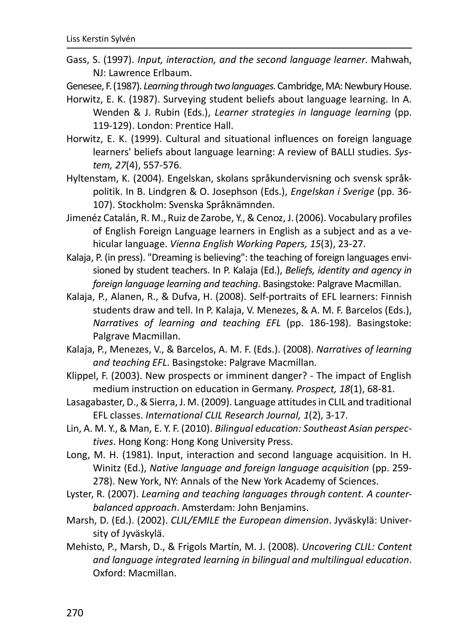Gass, S. (1997). *Input, interaction, and the second language learner*. Mahwah, NJ: Lawrence Erlbaum.

Genesee, F. (1987). *Learning through two languages.* Cambridge, MA: Newbury House.

- Horwitz, E. K. (1987). Surveying student beliefs about language learning. In A. Wenden & J. Rubin (Eds.), *Learner strategies in language learning* (pp. 119-129). London: Prentice Hall.
- Horwitz, E. K. (1999). Cultural and situational influences on foreign language learners' beliefs about language learning: A review of BALLI studies. *System, 27*(4), 557-576.
- Hyltenstam, K. (2004). Engelskan, skolans språkundervisning och svensk språkpolitik. In B. Lindgren & O. Josephson (Eds.), *Engelskan i Sverige* (pp. 36- 107). Stockholm: Svenska Språknämnden.
- Jimenéz Catalán, R. M., Ruiz de Zarobe, Y., & Cenoz, J. (2006). Vocabulary profiles of English Foreign Language learners in English as a subject and as a vehicular language. *Vienna English Working Papers, 15*(3), 23-27.
- Kalaja, P. (in press). "Dreaming is believing": the teaching of foreign languages envisioned by student teachers. In P. Kalaja (Ed.), *Beliefs, identity and agency in foreign language learning and teaching*. Basingstoke: Palgrave Macmillan.
- Kalaja, P., Alanen, R., & Dufva, H. (2008). Self-portraits of EFL learners: Finnish students draw and tell. In P. Kalaja, V. Menezes, & A. M. F. Barcelos (Eds.), *Narratives of learning and teaching EFL* (pp. 186-198). Basingstoke: Palgrave Macmillan.
- Kalaja, P., Menezes, V., & Barcelos, A. M. F. (Eds.). (2008). *Narratives of learning and teaching EFL*. Basingstoke: Palgrave Macmillan.
- Klippel, F. (2003). New prospects or imminent danger? The impact of English medium instruction on education in Germany. *Prospect, 18*(1), 68-81.
- Lasagabaster, D., & Sierra, J. M. (2009). Language attitudes in CLIL and traditional EFL classes. *International CLIL Research Journal, 1*(2), 3-17.
- Lin, A. M. Y., & Man, E. Y. F. (2010). *Bilingual education: Southeast Asian perspectives*. Hong Kong: Hong Kong University Press.
- Long, M. H. (1981). Input, interaction and second language acquisition. In H. Winitz (Ed.), *Native language and foreign language acquisition* (pp. 259- 278). New York, NY: Annals of the New York Academy of Sciences.
- Lyster, R. (2007). *Learning and teaching languages through content. A counterbalanced approach*. Amsterdam: John Benjamins.
- Marsh, D. (Ed.). (2002). *CLIL/EMILE the European dimension*. Jyväskylä: University of Jyväskylä.
- Mehisto, P., Marsh, D., & Frigols Martín, M. J. (2008). *Uncovering CLIL: Content and language integrated learning in bilingual and multilingual education*. Oxford: Macmillan.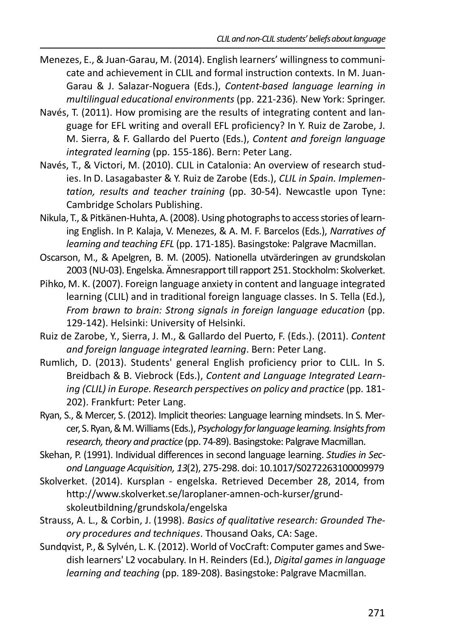- Menezes, E., & Juan-Garau, M. (2014). English learners' willingness to communicate and achievement in CLIL and formal instruction contexts. In M. Juan-Garau & J. Salazar-Noguera (Eds.), *Content-based language learning in multilingual educational environments* (pp. 221-236). New York: Springer.
- Navés, T. (2011). How promising are the results of integrating content and language for EFL writing and overall EFL proficiency? In Y. Ruiz de Zarobe, J. M. Sierra, & F. Gallardo del Puerto (Eds.), *Content and foreign language integrated learning* (pp. 155-186). Bern: Peter Lang.
- Navés, T., & Victori, M. (2010). CLIL in Catalonia: An overview of research studies. In D. Lasagabaster & Y. Ruiz de Zarobe (Eds.), *CLIL in Spain. Implementation, results and teacher training* (pp. 30-54). Newcastle upon Tyne: Cambridge Scholars Publishing.
- Nikula, T., & Pitkänen-Huhta, A. (2008). Using photographs to access stories of learning English. In P. Kalaja, V. Menezes, & A. M. F. Barcelos (Eds.), *Narratives of learning and teaching EFL* (pp. 171-185). Basingstoke: Palgrave Macmillan.
- Oscarson, M., & Apelgren, B. M. (2005). Nationella utvärderingen av grundskolan 2003 (NU-03). Engelska. Ämnesrapport till rapport 251. Stockholm: Skolverket.
- Pihko, M. K. (2007). Foreign language anxiety in content and language integrated learning (CLIL) and in traditional foreign language classes. In S. Tella (Ed.), *From brawn to brain: Strong signals in foreign language education* (pp. 129-142). Helsinki: University of Helsinki.
- Ruiz de Zarobe, Y., Sierra, J. M., & Gallardo del Puerto, F. (Eds.). (2011). *Content and foreign language integrated learning*. Bern: Peter Lang.
- Rumlich, D. (2013). Students' general English proficiency prior to CLIL. In S. Breidbach & B. Viebrock (Eds.), *Content and Language Integrated Learning (CLIL) in Europe. Research perspectives on policy and practice* (pp. 181- 202). Frankfurt: Peter Lang.
- Ryan, S., & Mercer, S. (2012). Implicit theories: Language learning mindsets. In S. Mercer, S. Ryan, & M. Williams (Eds.), *Psychology for language learning. Insights from research, theory and practice* (pp. 74-89). Basingstoke: Palgrave Macmillan.
- Skehan, P. (1991). Individual differences in second language learning. *Studies in Second Language Acquisition, 13*(2), 275-298. doi: 10.1017/S0272263100009979
- Skolverket. (2014). Kursplan engelska. Retrieved December 28, 2014, from http://www.skolverket.se/laroplaner-amnen-och-kurser/grundskoleutbildning/grundskola/engelska
- Strauss, A. L., & Corbin, J. (1998). *Basics of qualitative research: Grounded Theory procedures and techniques*. Thousand Oaks, CA: Sage.
- Sundqvist, P., & Sylvén, L. K. (2012). World of VocCraft: Computer games and Swedish learners' L2 vocabulary. In H. Reinders (Ed.), *Digital games in language learning and teaching* (pp. 189-208). Basingstoke: Palgrave Macmillan.